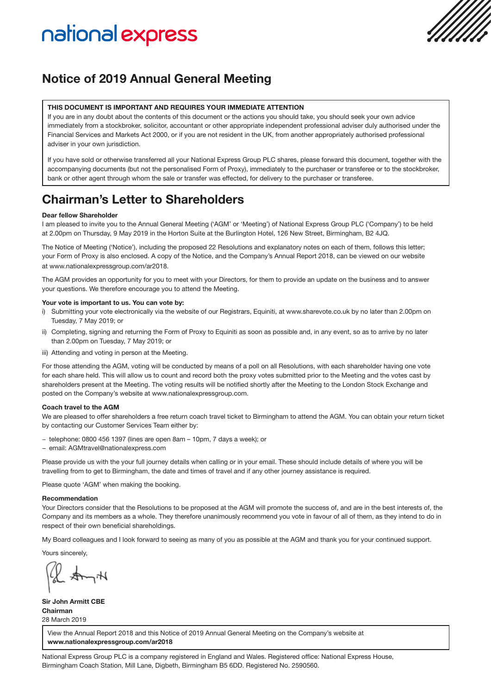# national express

## Notice of 2019 Annual General Meeting

#### THIS DOCUMENT IS IMPORTANT AND REQUIRES YOUR IMMEDIATE ATTENTION

If you are in any doubt about the contents of this document or the actions you should take, you should seek your own advice immediately from a stockbroker, solicitor, accountant or other appropriate independent professional adviser duly authorised under the Financial Services and Markets Act 2000, or if you are not resident in the UK, from another appropriately authorised professional adviser in your own jurisdiction.

If you have sold or otherwise transferred all your National Express Group PLC shares, please forward this document, together with the accompanying documents (but not the personalised Form of Proxy), immediately to the purchaser or transferee or to the stockbroker, bank or other agent through whom the sale or transfer was effected, for delivery to the purchaser or transferee.

## Chairman's Letter to Shareholders

#### Dear fellow Shareholder

I am pleased to invite you to the Annual General Meeting ('AGM' or 'Meeting') of National Express Group PLC ('Company') to be held at 2.00pm on Thursday, 9 May 2019 in the Horton Suite at the Burlington Hotel, 126 New Street, Birmingham, B2 4JQ.

The Notice of Meeting ('Notice'), including the proposed 22 Resolutions and explanatory notes on each of them, follows this letter; your Form of Proxy is also enclosed. A copy of the Notice, and the Company's Annual Report 2018, can be viewed on our website at www.nationalexpressgroup.com/ar2018.

The AGM provides an opportunity for you to meet with your Directors, for them to provide an update on the business and to answer your questions. We therefore encourage you to attend the Meeting.

#### Your vote is important to us. You can vote by:

- i) Submitting your vote electronically via the website of our Registrars, Equiniti, at www.sharevote.co.uk by no later than 2.00pm on Tuesday, 7 May 2019; or
- ii) Completing, signing and returning the Form of Proxy to Equiniti as soon as possible and, in any event, so as to arrive by no later than 2.00pm on Tuesday, 7 May 2019; or
- iii) Attending and voting in person at the Meeting.

For those attending the AGM, voting will be conducted by means of a poll on all Resolutions, with each shareholder having one vote for each share held. This will allow us to count and record both the proxy votes submitted prior to the Meeting and the votes cast by shareholders present at the Meeting. The voting results will be notified shortly after the Meeting to the London Stock Exchange and posted on the Company's website at www.nationalexpressgroup.com.

#### Coach travel to the AGM

We are pleased to offer shareholders a free return coach travel ticket to Birmingham to attend the AGM. You can obtain your return ticket by contacting our Customer Services Team either by:

- − telephone: 0800 456 1397 (lines are open 8am 10pm, 7 days a week); or
- − email: AGMtravel@nationalexpress.com

Please provide us with the your full journey details when calling or in your email. These should include details of where you will be travelling from to get to Birmingham, the date and times of travel and if any other journey assistance is required.

Please quote 'AGM' when making the booking.

#### Recommendation

Your Directors consider that the Resolutions to be proposed at the AGM will promote the success of, and are in the best interests of, the Company and its members as a whole. They therefore unanimously recommend you vote in favour of all of them, as they intend to do in respect of their own beneficial shareholdings.

My Board colleagues and I look forward to seeing as many of you as possible at the AGM and thank you for your continued support.

Yours sincerely,

Sir John Armitt CBE Chairman 28 March 2019

View the Annual Report 2018 and this Notice of 2019 Annual General Meeting on the Company's website at www.nationalexpressgroup.com/ar2018

National Express Group PLC is a company registered in England and Wales. Registered office: National Express House, Birmingham Coach Station, Mill Lane, Digbeth, Birmingham B5 6DD. Registered No. 2590560.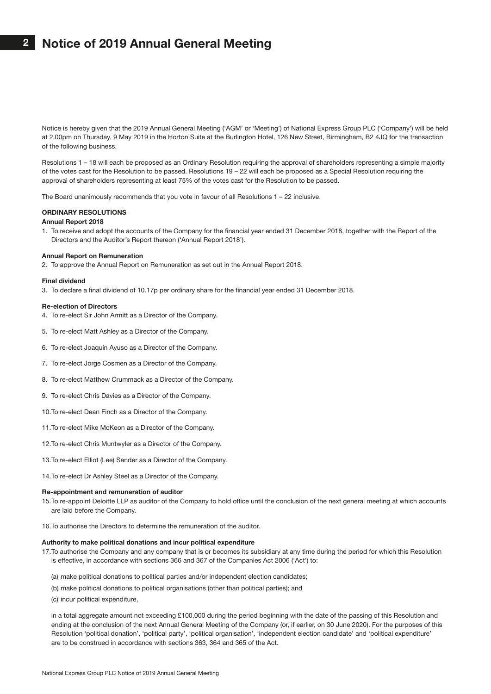## 2 Notice of 2019 Annual General Meeting

Notice is hereby given that the 2019 Annual General Meeting ('AGM' or 'Meeting') of National Express Group PLC ('Company') will be held at 2.00pm on Thursday, 9 May 2019 in the Horton Suite at the Burlington Hotel, 126 New Street, Birmingham, B2 4JQ for the transaction of the following business.

Resolutions 1 – 18 will each be proposed as an Ordinary Resolution requiring the approval of shareholders representing a simple majority of the votes cast for the Resolution to be passed. Resolutions 19 – 22 will each be proposed as a Special Resolution requiring the approval of shareholders representing at least 75% of the votes cast for the Resolution to be passed.

The Board unanimously recommends that you vote in favour of all Resolutions 1 – 22 inclusive.

#### ORDINARY RESOLUTIONS

#### Annual Report 2018

1. To receive and adopt the accounts of the Company for the financial year ended 31 December 2018, together with the Report of the Directors and the Auditor's Report thereon ('Annual Report 2018').

#### Annual Report on Remuneration

2. To approve the Annual Report on Remuneration as set out in the Annual Report 2018.

#### Final dividend

3. To declare a final dividend of 10.17p per ordinary share for the financial year ended 31 December 2018.

#### Re-election of Directors

- 4. To re-elect Sir John Armitt as a Director of the Company.
- 5. To re-elect Matt Ashley as a Director of the Company.
- 6. To re-elect Joaquín Ayuso as a Director of the Company.
- 7. To re-elect Jorge Cosmen as a Director of the Company.
- 8. To re-elect Matthew Crummack as a Director of the Company.
- 9. To re-elect Chris Davies as a Director of the Company.
- 10.To re-elect Dean Finch as a Director of the Company.
- 11.To re-elect Mike McKeon as a Director of the Company.
- 12.To re-elect Chris Muntwyler as a Director of the Company.
- 13.To re-elect Elliot (Lee) Sander as a Director of the Company.
- 14.To re-elect Dr Ashley Steel as a Director of the Company.

#### Re-appointment and remuneration of auditor

- 15. To re-appoint Deloitte LLP as auditor of the Company to hold office until the conclusion of the next general meeting at which accounts are laid before the Company.
- 16.To authorise the Directors to determine the remuneration of the auditor.

#### Authority to make political donations and incur political expenditure

- 17. To authorise the Company and any company that is or becomes its subsidiary at any time during the period for which this Resolution is effective, in accordance with sections 366 and 367 of the Companies Act 2006 ('Act') to:
	- (a) make political donations to political parties and/or independent election candidates;
	- (b) make political donations to political organisations (other than political parties); and
	- (c) incur political expenditure,

 in a total aggregate amount not exceeding £100,000 during the period beginning with the date of the passing of this Resolution and ending at the conclusion of the next Annual General Meeting of the Company (or, if earlier, on 30 June 2020). For the purposes of this Resolution 'political donation', 'political party', 'political organisation', 'independent election candidate' and 'political expenditure' are to be construed in accordance with sections 363, 364 and 365 of the Act.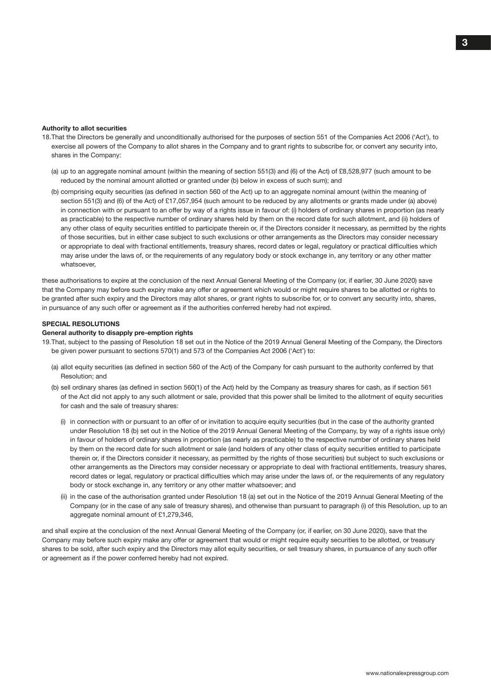#### Authority to allot securities

- 18.That the Directors be generally and unconditionally authorised for the purposes of section 551 of the Companies Act 2006 ('Act'), to exercise all powers of the Company to allot shares in the Company and to grant rights to subscribe for, or convert any security into, shares in the Company:
	- (a) up to an aggregate nominal amount (within the meaning of section 551(3) and (6) of the Act) of £8,528,977 (such amount to be reduced by the nominal amount allotted or granted under (b) below in excess of such sum); and
	- (b) comprising equity securities (as defined in section 560 of the Act) up to an aggregate nominal amount (within the meaning of section 551(3) and (6) of the Act) of £17,057,954 (such amount to be reduced by any allotments or grants made under (a) above) in connection with or pursuant to an offer by way of a rights issue in favour of: (i) holders of ordinary shares in proportion (as nearly as practicable) to the respective number of ordinary shares held by them on the record date for such allotment, and (ii) holders of any other class of equity securities entitled to participate therein or, if the Directors consider it necessary, as permitted by the rights of those securities, but in either case subject to such exclusions or other arrangements as the Directors may consider necessary or appropriate to deal with fractional entitlements, treasury shares, record dates or legal, regulatory or practical difficulties which may arise under the laws of, or the requirements of any regulatory body or stock exchange in, any territory or any other matter whatsoever,

these authorisations to expire at the conclusion of the next Annual General Meeting of the Company (or, if earlier, 30 June 2020) save that the Company may before such expiry make any offer or agreement which would or might require shares to be allotted or rights to be granted after such expiry and the Directors may allot shares, or grant rights to subscribe for, or to convert any security into, shares, in pursuance of any such offer or agreement as if the authorities conferred hereby had not expired.

#### SPECIAL RESOLUTIONS

#### General authority to disapply pre-emption rights

19.That, subject to the passing of Resolution 18 set out in the Notice of the 2019 Annual General Meeting of the Company, the Directors be given power pursuant to sections 570(1) and 573 of the Companies Act 2006 ('Act') to:

- (a) allot equity securities (as defined in section 560 of the Act) of the Company for cash pursuant to the authority conferred by that Resolution; and
- (b) sell ordinary shares (as defined in section 560(1) of the Act) held by the Company as treasury shares for cash, as if section 561 of the Act did not apply to any such allotment or sale, provided that this power shall be limited to the allotment of equity securities for cash and the sale of treasury shares:
	- (i) in connection with or pursuant to an offer of or invitation to acquire equity securities (but in the case of the authority granted under Resolution 18 (b) set out in the Notice of the 2019 Annual General Meeting of the Company, by way of a rights issue only) in favour of holders of ordinary shares in proportion (as nearly as practicable) to the respective number of ordinary shares held by them on the record date for such allotment or sale (and holders of any other class of equity securities entitled to participate therein or, if the Directors consider it necessary, as permitted by the rights of those securities) but subject to such exclusions or other arrangements as the Directors may consider necessary or appropriate to deal with fractional entitlements, treasury shares, record dates or legal, regulatory or practical difficulties which may arise under the laws of, or the requirements of any regulatory body or stock exchange in, any territory or any other matter whatsoever; and
	- (ii) in the case of the authorisation granted under Resolution 18 (a) set out in the Notice of the 2019 Annual General Meeting of the Company (or in the case of any sale of treasury shares), and otherwise than pursuant to paragraph (i) of this Resolution, up to an aggregate nominal amount of £1,279,346,

and shall expire at the conclusion of the next Annual General Meeting of the Company (or, if earlier, on 30 June 2020), save that the Company may before such expiry make any offer or agreement that would or might require equity securities to be allotted, or treasury shares to be sold, after such expiry and the Directors may allot equity securities, or sell treasury shares, in pursuance of any such offer or agreement as if the power conferred hereby had not expired.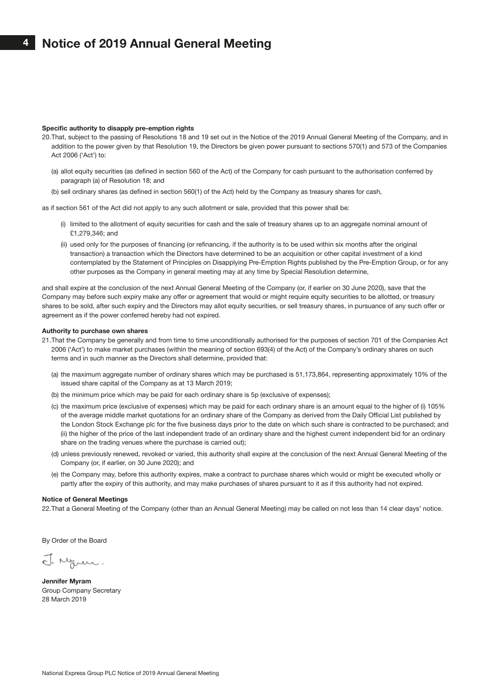#### Specific authority to disapply pre-emption rights

- 20.That, subject to the passing of Resolutions 18 and 19 set out in the Notice of the 2019 Annual General Meeting of the Company, and in addition to the power given by that Resolution 19, the Directors be given power pursuant to sections 570(1) and 573 of the Companies Act 2006 ('Act') to:
	- (a) allot equity securities (as defined in section 560 of the Act) of the Company for cash pursuant to the authorisation conferred by paragraph (a) of Resolution 18; and
	- (b) sell ordinary shares (as defined in section 560(1) of the Act) held by the Company as treasury shares for cash,

as if section 561 of the Act did not apply to any such allotment or sale, provided that this power shall be:

- (i) limited to the allotment of equity securities for cash and the sale of treasury shares up to an aggregate nominal amount of £1,279,346; and
- (ii) used only for the purposes of financing (or refinancing, if the authority is to be used within six months after the original transaction) a transaction which the Directors have determined to be an acquisition or other capital investment of a kind contemplated by the Statement of Principles on Disapplying Pre-Emption Rights published by the Pre-Emption Group, or for any other purposes as the Company in general meeting may at any time by Special Resolution determine,

and shall expire at the conclusion of the next Annual General Meeting of the Company (or, if earlier on 30 June 2020), save that the Company may before such expiry make any offer or agreement that would or might require equity securities to be allotted, or treasury shares to be sold, after such expiry and the Directors may allot equity securities, or sell treasury shares, in pursuance of any such offer or agreement as if the power conferred hereby had not expired.

#### Authority to purchase own shares

- 21.That the Company be generally and from time to time unconditionally authorised for the purposes of section 701 of the Companies Act 2006 ('Act') to make market purchases (within the meaning of section 693(4) of the Act) of the Company's ordinary shares on such terms and in such manner as the Directors shall determine, provided that:
	- (a) the maximum aggregate number of ordinary shares which may be purchased is 51,173,864, representing approximately 10% of the issued share capital of the Company as at 13 March 2019;
	- (b) the minimum price which may be paid for each ordinary share is 5p (exclusive of expenses);
	- (c) the maximum price (exclusive of expenses) which may be paid for each ordinary share is an amount equal to the higher of (i) 105% of the average middle market quotations for an ordinary share of the Company as derived from the Daily Official List published by the London Stock Exchange plc for the five business days prior to the date on which such share is contracted to be purchased; and (ii) the higher of the price of the last independent trade of an ordinary share and the highest current independent bid for an ordinary share on the trading venues where the purchase is carried out);
	- (d) unless previously renewed, revoked or varied, this authority shall expire at the conclusion of the next Annual General Meeting of the Company (or, if earlier, on 30 June 2020); and
	- (e) the Company may, before this authority expires, make a contract to purchase shares which would or might be executed wholly or partly after the expiry of this authority, and may make purchases of shares pursuant to it as if this authority had not expired.

#### Notice of General Meetings

22.That a General Meeting of the Company (other than an Annual General Meeting) may be called on not less than 14 clear days' notice.

By Order of the Board

J. Nym.

Jennifer Myram Group Company Secretary 28 March 2019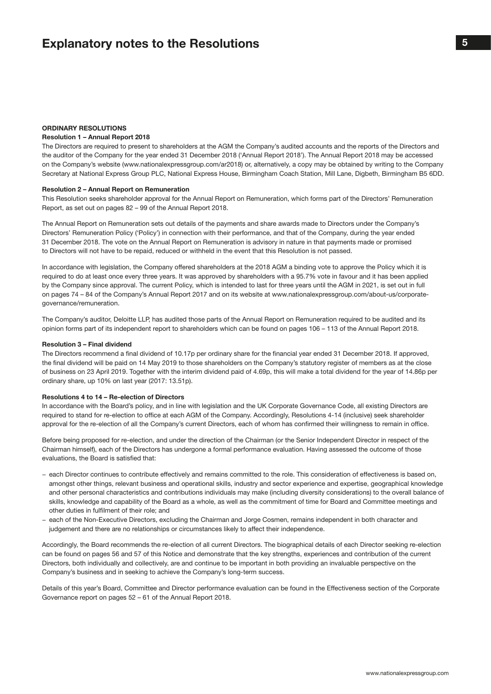#### ORDINARY RESOLUTIONS

#### Resolution 1 – Annual Report 2018

The Directors are required to present to shareholders at the AGM the Company's audited accounts and the reports of the Directors and the auditor of the Company for the year ended 31 December 2018 ('Annual Report 2018'). The Annual Report 2018 may be accessed on the Company's website (www.nationalexpressgroup.com/ar2018) or, alternatively, a copy may be obtained by writing to the Company Secretary at National Express Group PLC, National Express House, Birmingham Coach Station, Mill Lane, Digbeth, Birmingham B5 6DD.

#### Resolution 2 – Annual Report on Remuneration

This Resolution seeks shareholder approval for the Annual Report on Remuneration, which forms part of the Directors' Remuneration Report, as set out on pages 82 – 99 of the Annual Report 2018.

The Annual Report on Remuneration sets out details of the payments and share awards made to Directors under the Company's Directors' Remuneration Policy ('Policy') in connection with their performance, and that of the Company, during the year ended 31 December 2018. The vote on the Annual Report on Remuneration is advisory in nature in that payments made or promised to Directors will not have to be repaid, reduced or withheld in the event that this Resolution is not passed.

In accordance with legislation, the Company offered shareholders at the 2018 AGM a binding vote to approve the Policy which it is required to do at least once every three years. It was approved by shareholders with a 95.7% vote in favour and it has been applied by the Company since approval. The current Policy, which is intended to last for three years until the AGM in 2021, is set out in full on pages 74 – 84 of the Company's Annual Report 2017 and on its website at www.nationalexpressgroup.com/about-us/corporategovernance/remuneration.

The Company's auditor, Deloitte LLP, has audited those parts of the Annual Report on Remuneration required to be audited and its opinion forms part of its independent report to shareholders which can be found on pages 106 – 113 of the Annual Report 2018.

#### Resolution 3 – Final dividend

The Directors recommend a final dividend of 10.17p per ordinary share for the financial year ended 31 December 2018. If approved, the final dividend will be paid on 14 May 2019 to those shareholders on the Company's statutory register of members as at the close of business on 23 April 2019. Together with the interim dividend paid of 4.69p, this will make a total dividend for the year of 14.86p per ordinary share, up 10% on last year (2017: 13.51p).

#### Resolutions 4 to 14 – Re-election of Directors

In accordance with the Board's policy, and in line with legislation and the UK Corporate Governance Code, all existing Directors are required to stand for re-election to office at each AGM of the Company. Accordingly, Resolutions 4-14 (inclusive) seek shareholder approval for the re-election of all the Company's current Directors, each of whom has confirmed their willingness to remain in office.

Before being proposed for re-election, and under the direction of the Chairman (or the Senior Independent Director in respect of the Chairman himself), each of the Directors has undergone a formal performance evaluation. Having assessed the outcome of those evaluations, the Board is satisfied that:

- − each Director continues to contribute effectively and remains committed to the role. This consideration of effectiveness is based on, amongst other things, relevant business and operational skills, industry and sector experience and expertise, geographical knowledge and other personal characteristics and contributions individuals may make (including diversity considerations) to the overall balance of skills, knowledge and capability of the Board as a whole, as well as the commitment of time for Board and Committee meetings and other duties in fulfilment of their role; and
- − each of the Non-Executive Directors, excluding the Chairman and Jorge Cosmen, remains independent in both character and judgement and there are no relationships or circumstances likely to affect their independence.

Accordingly, the Board recommends the re-election of all current Directors. The biographical details of each Director seeking re-election can be found on pages 56 and 57 of this Notice and demonstrate that the key strengths, experiences and contribution of the current Directors, both individually and collectively, are and continue to be important in both providing an invaluable perspective on the Company's business and in seeking to achieve the Company's long-term success.

Details of this year's Board, Committee and Director performance evaluation can be found in the Effectiveness section of the Corporate Governance report on pages 52 – 61 of the Annual Report 2018.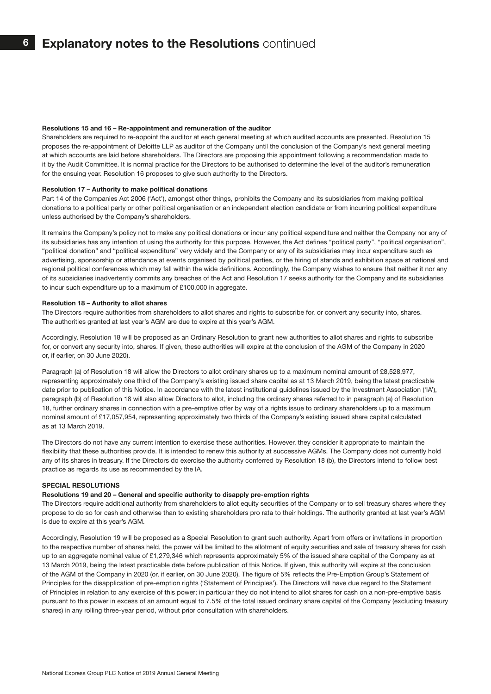#### Resolutions 15 and 16 – Re-appointment and remuneration of the auditor

Shareholders are required to re-appoint the auditor at each general meeting at which audited accounts are presented. Resolution 15 proposes the re-appointment of Deloitte LLP as auditor of the Company until the conclusion of the Company's next general meeting at which accounts are laid before shareholders. The Directors are proposing this appointment following a recommendation made to it by the Audit Committee. It is normal practice for the Directors to be authorised to determine the level of the auditor's remuneration for the ensuing year. Resolution 16 proposes to give such authority to the Directors.

#### Resolution 17 – Authority to make political donations

Part 14 of the Companies Act 2006 ('Act'), amongst other things, prohibits the Company and its subsidiaries from making political donations to a political party or other political organisation or an independent election candidate or from incurring political expenditure unless authorised by the Company's shareholders.

It remains the Company's policy not to make any political donations or incur any political expenditure and neither the Company nor any of its subsidiaries has any intention of using the authority for this purpose. However, the Act defines "political party", "political organisation", "political donation" and "political expenditure" very widely and the Company or any of its subsidiaries may incur expenditure such as advertising, sponsorship or attendance at events organised by political parties, or the hiring of stands and exhibition space at national and regional political conferences which may fall within the wide definitions. Accordingly, the Company wishes to ensure that neither it nor any of its subsidiaries inadvertently commits any breaches of the Act and Resolution 17 seeks authority for the Company and its subsidiaries to incur such expenditure up to a maximum of £100,000 in aggregate.

#### Resolution 18 – Authority to allot shares

The Directors require authorities from shareholders to allot shares and rights to subscribe for, or convert any security into, shares. The authorities granted at last year's AGM are due to expire at this year's AGM.

Accordingly, Resolution 18 will be proposed as an Ordinary Resolution to grant new authorities to allot shares and rights to subscribe for, or convert any security into, shares. If given, these authorities will expire at the conclusion of the AGM of the Company in 2020 or, if earlier, on 30 June 2020).

Paragraph (a) of Resolution 18 will allow the Directors to allot ordinary shares up to a maximum nominal amount of £8,528,977, representing approximately one third of the Company's existing issued share capital as at 13 March 2019, being the latest practicable date prior to publication of this Notice. In accordance with the latest institutional guidelines issued by the Investment Association ('IA'), paragraph (b) of Resolution 18 will also allow Directors to allot, including the ordinary shares referred to in paragraph (a) of Resolution 18, further ordinary shares in connection with a pre-emptive offer by way of a rights issue to ordinary shareholders up to a maximum nominal amount of £17,057,954, representing approximately two thirds of the Company's existing issued share capital calculated as at 13 March 2019.

The Directors do not have any current intention to exercise these authorities. However, they consider it appropriate to maintain the flexibility that these authorities provide. It is intended to renew this authority at successive AGMs. The Company does not currently hold any of its shares in treasury. If the Directors do exercise the authority conferred by Resolution 18 (b), the Directors intend to follow best practice as regards its use as recommended by the IA.

#### SPECIAL RESOLUTIONS

#### Resolutions 19 and 20 – General and specific authority to disapply pre-emption rights

The Directors require additional authority from shareholders to allot equity securities of the Company or to sell treasury shares where they propose to do so for cash and otherwise than to existing shareholders pro rata to their holdings. The authority granted at last year's AGM is due to expire at this year's AGM.

Accordingly, Resolution 19 will be proposed as a Special Resolution to grant such authority. Apart from offers or invitations in proportion to the respective number of shares held, the power will be limited to the allotment of equity securities and sale of treasury shares for cash up to an aggregate nominal value of £1,279,346 which represents approximately 5% of the issued share capital of the Company as at 13 March 2019, being the latest practicable date before publication of this Notice. If given, this authority will expire at the conclusion of the AGM of the Company in 2020 (or, if earlier, on 30 June 2020). The figure of 5% reflects the Pre-Emption Group's Statement of Principles for the disapplication of pre-emption rights ('Statement of Principles'). The Directors will have due regard to the Statement of Principles in relation to any exercise of this power; in particular they do not intend to allot shares for cash on a non-pre-emptive basis pursuant to this power in excess of an amount equal to 7.5% of the total issued ordinary share capital of the Company (excluding treasury shares) in any rolling three-year period, without prior consultation with shareholders.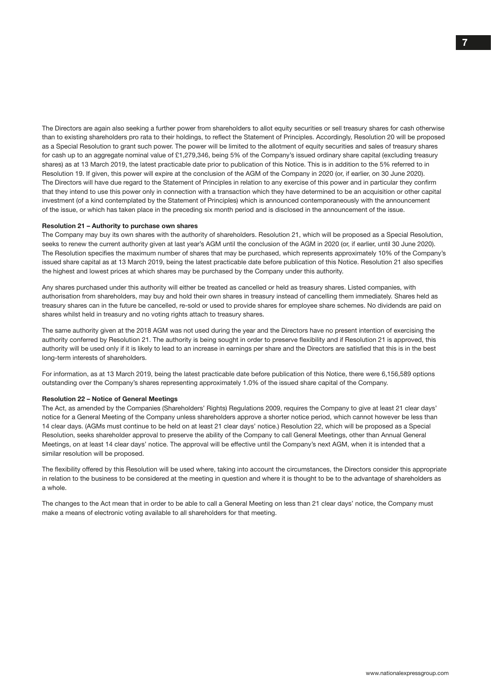The Directors are again also seeking a further power from shareholders to allot equity securities or sell treasury shares for cash otherwise than to existing shareholders pro rata to their holdings, to reflect the Statement of Principles. Accordingly, Resolution 20 will be proposed as a Special Resolution to grant such power. The power will be limited to the allotment of equity securities and sales of treasury shares for cash up to an aggregate nominal value of £1,279,346, being 5% of the Company's issued ordinary share capital (excluding treasury shares) as at 13 March 2019, the latest practicable date prior to publication of this Notice. This is in addition to the 5% referred to in Resolution 19. If given, this power will expire at the conclusion of the AGM of the Company in 2020 (or, if earlier, on 30 June 2020). The Directors will have due regard to the Statement of Principles in relation to any exercise of this power and in particular they confirm that they intend to use this power only in connection with a transaction which they have determined to be an acquisition or other capital investment (of a kind contemplated by the Statement of Principles) which is announced contemporaneously with the announcement of the issue, or which has taken place in the preceding six month period and is disclosed in the announcement of the issue.

#### Resolution 21 – Authority to purchase own shares

The Company may buy its own shares with the authority of shareholders. Resolution 21, which will be proposed as a Special Resolution, seeks to renew the current authority given at last year's AGM until the conclusion of the AGM in 2020 (or, if earlier, until 30 June 2020). The Resolution specifies the maximum number of shares that may be purchased, which represents approximately 10% of the Company's issued share capital as at 13 March 2019, being the latest practicable date before publication of this Notice. Resolution 21 also specifies the highest and lowest prices at which shares may be purchased by the Company under this authority.

Any shares purchased under this authority will either be treated as cancelled or held as treasury shares. Listed companies, with authorisation from shareholders, may buy and hold their own shares in treasury instead of cancelling them immediately. Shares held as treasury shares can in the future be cancelled, re-sold or used to provide shares for employee share schemes. No dividends are paid on shares whilst held in treasury and no voting rights attach to treasury shares.

The same authority given at the 2018 AGM was not used during the year and the Directors have no present intention of exercising the authority conferred by Resolution 21. The authority is being sought in order to preserve flexibility and if Resolution 21 is approved, this authority will be used only if it is likely to lead to an increase in earnings per share and the Directors are satisfied that this is in the best long-term interests of shareholders.

For information, as at 13 March 2019, being the latest practicable date before publication of this Notice, there were 6,156,589 options outstanding over the Company's shares representing approximately 1.0% of the issued share capital of the Company.

#### Resolution 22 – Notice of General Meetings

The Act, as amended by the Companies (Shareholders' Rights) Regulations 2009, requires the Company to give at least 21 clear days' notice for a General Meeting of the Company unless shareholders approve a shorter notice period, which cannot however be less than 14 clear days. (AGMs must continue to be held on at least 21 clear days' notice.) Resolution 22, which will be proposed as a Special Resolution, seeks shareholder approval to preserve the ability of the Company to call General Meetings, other than Annual General Meetings, on at least 14 clear days' notice. The approval will be effective until the Company's next AGM, when it is intended that a similar resolution will be proposed.

The flexibility offered by this Resolution will be used where, taking into account the circumstances, the Directors consider this appropriate in relation to the business to be considered at the meeting in question and where it is thought to be to the advantage of shareholders as a whole.

The changes to the Act mean that in order to be able to call a General Meeting on less than 21 clear days' notice, the Company must make a means of electronic voting available to all shareholders for that meeting.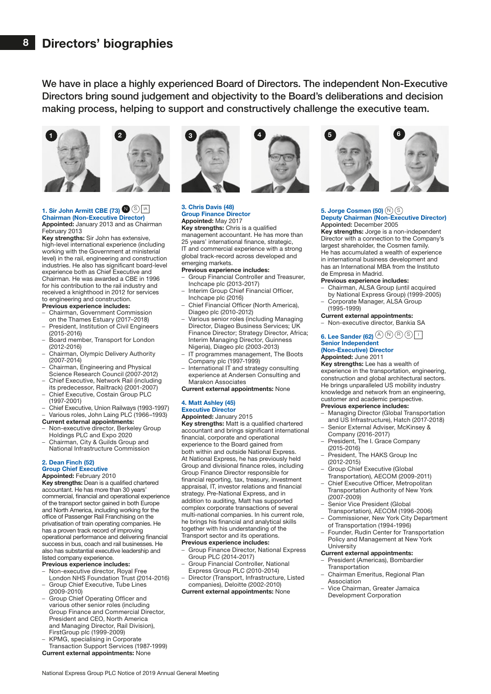We have in place a highly experienced Board of Directors. The independent Non-Executive Directors bring sound judgement and objectivity to the Board's deliberations and decision making process, helping to support and constructively challenge the executive team.





#### 1. Sir John Armitt CBE (73)  $\bigcirc$  S A Chairman (Non-Executive Director) Appointed: January 2013 and as Chairman

#### February 2013

Key strengths: Sir John has extensive, high-level international experience (including working with the Government at ministerial level) in the rail, engineering and construction industries. He also has significant board-level experience both as Chief Executive and Chairman. He was awarded a CBE in 1996 for his contribution to the rail industry and received a knighthood in 2012 for services to engineering and construction.

Previous experience includes:

- Chairman, Government Commission
- on the Thames Estuary (2017–2018) – President, Institution of Civil Engineers (2015-2016)
- Board member, Transport for London (2012-2016)
- Chairman, Olympic Delivery Authority (2007-2014)
- Chairman, Engineering and Physical Science Research Council (2007-2012)
- Chief Executive, Network Rail (including its predecessor, Railtrack) (2001-2007)
- Chief Executive, Costain Group PLC (1997-2001)
- Chief Executive, Union Railways (1993-1997)
- Various roles, John Laing PLC (1966–1993)
- Current external appointments:
- Non-executive director, Berkeley Group Holdings PLC and Expo 2020
- Chairman, City & Guilds Group and
- National Infrastructure Commission

#### 2. Dean Finch (52) Group Chief Executive

#### Appointed: February 2010

Key strengths: Dean is a qualified chartered accountant. He has more than 30 years' commercial, financial and operational experience of the transport sector gained in both Europe and North America, including working for the office of Passenger Rail Franchising on the privatisation of train operating companies. He has a proven track record of improving operational performance and delivering financial success in bus, coach and rail businesses. He also has substantial executive leadership and listed company experience.

- Previous experience includes:
- Non-executive director, Royal Free London NHS Foundation Trust (2014-2016)
- Group Chief Executive, Tube Lines (2009-2010)
- Group Chief Operating Officer and various other senior roles (including Group Finance and Commercial Director, President and CEO, North America and Managing Director, Rail Division), FirstGroup plc (1999-2009)

– KPMG, specialising in Corporate Transaction Support Services (1987-1999)

Current external appointments: None



#### 3. Chris Davis (48) Group Finance Director Appointed: May 2017

Key strengths: Chris is a qualified management accountant. He has more than 25 years' international finance, strategic, IT and commercial experience with a strong global track-record across developed and emerging markets.

#### Previous experience includes:

- Group Financial Controller and Treasurer, Inchcape plc (2013-2017)
- Interim Group Chief Financial Officer, Inchcape plc (2016)
- Chief Financial Officer (North America), Diageo plc (2010-2012)
- Various senior roles (including Managing Director, Diageo Business Services; UK Finance Director; Strategy Director, Africa; Interim Managing Director, Guinness Nigeria), Diageo plc (2003-2013)
- IT programmes management, The Boots Company plc (1997-1999)
- International IT and strategy consulting experience at Andersen Consulting and
- Marakon Associates
- Current external appointments: None

#### 4. Matt Ashley (45)

### Executive Director

Appointed: January 2015 Key strengths: Matt is a qualified chartered accountant and brings significant international financial, corporate and operational experience to the Board gained from both within and outside National Express. At National Express, he has previously held Group and divisional finance roles, including Group Finance Director responsible for financial reporting, tax, treasury, investment appraisal, IT, investor relations and financial strategy. Pre-National Express, and in addition to auditing, Matt has supported complex corporate transactions of several multi-national companies. In his current role, he brings his financial and analytical skills together with his understanding of the Transport sector and its operations.

#### Previous experience includes:

- Group Finance Director, National Express Group PLC (2014-2017)
- Group Financial Controller, National Express Group PLC (2010-2014) – Director (Transport, Infrastructure, Listed
- companies), Deloitte (2002-2010) Current external appointments: None





#### 5. Jorge Cosmen (50)  $(N)$   $(S)$ Deputy Chairman (Non-Executive Director) Appointed: December 2005

Key strengths: Jorge is a non-independent Director with a connection to the Company's largest shareholder, the Cosmen family. He has accumulated a wealth of experience in international business development and has an International MBA from the Instituto de Empresa in Madrid.

#### Previous experience includes:

- Chairman, ALSA Group (until acquired by National Express Group) (1999-2005)
- Corporate Manager, ALSA Group (1995-1999)
- Current external appointments:
- Non-executive director, Bankia SA

#### 6. Lee Sander (62)  $\textcircled{A} \otimes \textcircled{R} \otimes \textcircled{I}$ Senior Independent (Non-Executive) Director

#### Appointed: June 2011

Key strengths: Lee has a wealth of experience in the transportation, engineering, construction and global architectural sectors. He brings unparalleled US mobility industry knowledge and network from an engineering, customer and academic perspective.

#### Previous experience includes:

- Managing Director (Global Transportation and US Infrastructure), Hatch (2017-2018)
- Senior External Adviser, McKinsey & Company (2016-2017)
- President, The I. Grace Company (2015-2016)
- President, The HAKS Group Inc (2012-2015)
- Group Chief Executive (Global
- Transportation), AECOM (2009-2011) – Chief Executive Officer, Metropolitan Transportation Authority of New York
- (2007-2009)
- Senior Vice President (Global
- Transportation), AECOM (1996-2006) – Commissioner, New York City Department
- of Transportation (1994-1996) – Founder, Rudin Center for Transportation
- Policy and Management at New York **University**

#### Current external appointments:

- President (Americas), Bombardier
- Transportation – Chairman Emeritus, Regional Plan Association
- Vice Chairman, Greater Jamaica Development Corporation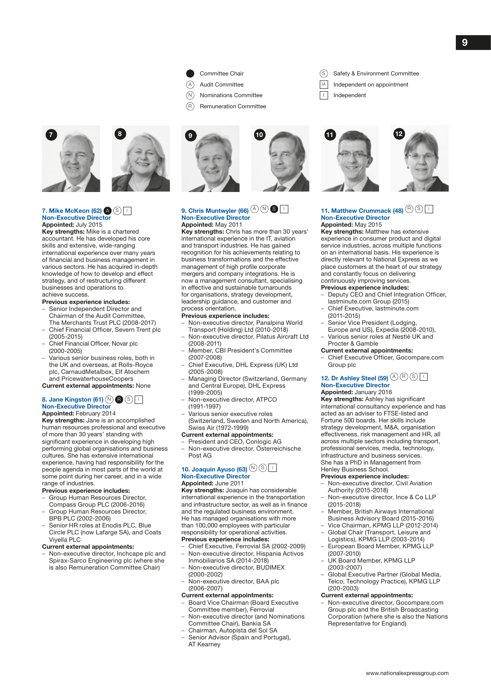

- (A) Audit Committee
- $\widehat{N}$  Nominations Committee
- $(R)$  Remuneration Committee





#### 7. Mike McKeon  $(62)$   $\bigcirc$   $\bigcirc$   $\bigcirc$ Non-Executive Director Appointed: July 2015

Key strengths: Mike is a chartered accountant. He has developed his core skills and extensive, wide-ranging international experience over many years of financial and business management in various sectors. He has acquired in-depth knowledge of how to develop and effect strategy, and of restructuring different businesses and operations to achieve success.

#### Previous experience includes:

- Senior Independent Director and Chairman of the Audit Committee, The Merchants Trust PLC (2008-2017)
- Chief Financial Officer, Severn Trent plc (2005-2015)
- Chief Financial Officer, Novar plc (2000-2005)
- Various senior business roles, both in the UK and overseas, at Rolls-Royce plc, CarnaudMetalbox, Elf Atochem and PricewaterhouseCoopers

Current external appointments: None

#### 8. Jane Kingston (61)  $\mathbb{N}$  **B**  $\circledS$  I Non-Executive Director

#### Appointed: February 2014

Key strengths: Jane is an accomplished human resources professional and executive of more than 30 years' standing with significant experience in developing high performing global organisations and business cultures. She has extensive international experience, having had responsibility for the people agenda in most parts of the world at some point during her career, and in a wide range of industries.

- Previous experience includes:
- Group Human Resources Director,
- Compass Group PLC (2006-2016) – Group Human Resources Director, BPB PLC (2002-2006)
- Senior HR roles at Enodis PLC, Blue Circle PLC (now Lafarge SA), and Coats Viyella PLC

#### Current external appointments:

– Non-executive director, Inchcape plc and Spirax-Sarco Engineering plc (where she is also Remuneration Committee Chair)



#### 9. Chris Muntwyler (66)  $\textcircled{A} \textcircled{N}$  S Non-Executive Director Appointed: May 2011

Key strengths: Chris has more than 30 years' international experience in the IT, aviation and transport industries. He has gained recognition for his achievements relating to business transformations and the effective management of high profile corporate mergers and company integrations. He is now a management consultant, specialising in effective and sustainable turnarounds for organisations, strategy development, leadership guidance, and customer and process orientation.

#### Previous experience includes:

- Non-executive director, Panalpina World Transport (Holding) Ltd (2010-2018)
- Non-executive director, Pilatus Aircraft Ltd (2008-2011)
- Member, CBI President's Committee (2007-2008)
- Chief Executive, DHL Express (UK) Ltd (2005-2008)
- Managing Director (Switzerland, Germany and Central Europe), DHL Express (1999-2005)
- Non-executive director, ATPCO (1991-1997)
- Various senior executive roles (Switzerland, Sweden and North America),
- Swiss Air (1972-1999) Current external appointments:
- President and CEO, Conlogic AG
- Non-executive director, Österreichische Post AG

### 10. Joaquín Ayuso (63)  $\circledR$  S Non-Executive Director

#### Appointed: June 2011 Key strengths: Joaquín has considerable

international experience in the transportation and infrastructure sector, as well as in finance and the regulated business environment. He has managed organisations with more than 100,000 employees with particular responsibility for operational activities. Previous experience includes:

- Chief Executive, Ferrovial SA (2002-2009)
- Non-executive director, Hispania Activos Inmobiliarios SA (2014-2018)
- Non-executive director, BUDIMEX (2000-2002)
- Non-executive director, BAA plc (2006-2007)

#### Current external appointments:

- Board Vice Chairman (Board Executive Committee member), Ferrovial
- Non-executive director (and Nominations Committee Chair), Bankia SA
- Chairman, Autopista del Sol SA
- Senior Advisor (Spain and Portugal), AT Kearney
- (S) Safety & Environment Committee
- IA Independent on appointment
- Independent



#### 11. Matthew Crummack (48)  $\circledR$  S Non-Executive Director Appointed: May 2015

Key strengths: Matthew has extensive experience in consumer product and digital service industries, across multiple functions on an international basis. His experience is directly relevant to National Express as we place customers at the heart of our strategy and constantly focus on delivering continuously improving services.

#### Previous experience includes:

- Deputy CEO and Chief Integration Officer, lastminute.com Group (2015)
- Chief Executive, lastminute.com (2011-2015)
- Senior Vice President (Lodging, Europe and US), Expedia (2008-2010),
- Various senior roles at Nestlé UK and Procter & Gamble

#### Current external appointments:

– Chief Executive Officer, Gocompare.com Group plc

#### 12. Dr Ashley Steel (59)  $(A \otimes B)$ Non-Executive Director Appointed: January 2016

Key strengths: Ashley has significant international consultancy experience and has acted as an adviser to FTSE-listed and Fortune 500 boards. Her skills include strategy development, M&A, organisation effectiveness, risk management and HR, all across multiple sectors including transport, professional services, media, technology, infrastructure and business services. She has a PhD in Management from Henley Business School.

#### Previous experience includes:

- Non-executive director, Civil Aviation Authority (2015-2018)
- Non-executive director, Ince & Co LLP (2015-2018)
- Member, British Airways International Business Advisory Board (2015-2016)
- Vice Chairman, KPMG LLP (2012-2014)
- Global Chair (Transport, Leisure and Logistics), KPMG LLP (2003-2014)
- European Board Member, KPMG LLP (2007-2010)
- UK Board Member, KPMG LLP (2003-2007)
- Global Executive Partner (Global Media, Telco, Technology Practice), KPMG LLP (200-2003)

#### Current external appointments:

– Non-executive director, Gocompare.com Group plc and the British Broadcasting Corporation (where she is also the Nations Representative for England)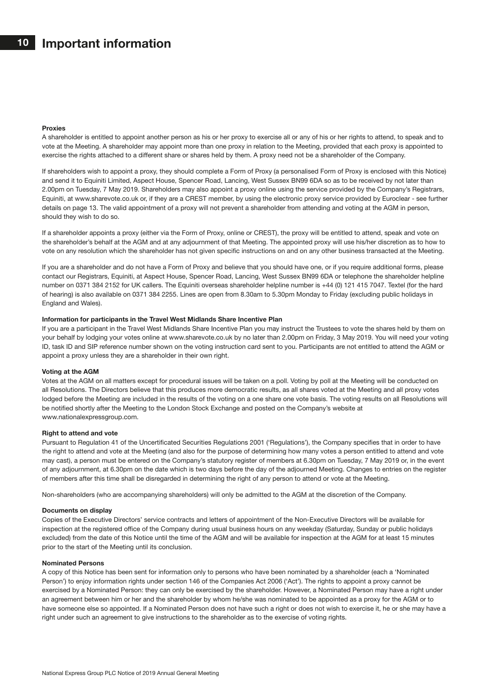#### Proxies

A shareholder is entitled to appoint another person as his or her proxy to exercise all or any of his or her rights to attend, to speak and to vote at the Meeting. A shareholder may appoint more than one proxy in relation to the Meeting, provided that each proxy is appointed to exercise the rights attached to a different share or shares held by them. A proxy need not be a shareholder of the Company.

If shareholders wish to appoint a proxy, they should complete a Form of Proxy (a personalised Form of Proxy is enclosed with this Notice) and send it to Equiniti Limited, Aspect House, Spencer Road, Lancing, West Sussex BN99 6DA so as to be received by not later than 2.00pm on Tuesday, 7 May 2019. Shareholders may also appoint a proxy online using the service provided by the Company's Registrars, Equiniti, at www.sharevote.co.uk or, if they are a CREST member, by using the electronic proxy service provided by Euroclear - see further details on page 13. The valid appointment of a proxy will not prevent a shareholder from attending and voting at the AGM in person, should they wish to do so.

If a shareholder appoints a proxy (either via the Form of Proxy, online or CREST), the proxy will be entitled to attend, speak and vote on the shareholder's behalf at the AGM and at any adjournment of that Meeting. The appointed proxy will use his/her discretion as to how to vote on any resolution which the shareholder has not given specific instructions on and on any other business transacted at the Meeting.

If you are a shareholder and do not have a Form of Proxy and believe that you should have one, or if you require additional forms, please contact our Registrars, Equiniti, at Aspect House, Spencer Road, Lancing, West Sussex BN99 6DA or telephone the shareholder helpline number on 0371 384 2152 for UK callers. The Equiniti overseas shareholder helpline number is +44 (0) 121 415 7047. Textel (for the hard of hearing) is also available on 0371 384 2255. Lines are open from 8.30am to 5.30pm Monday to Friday (excluding public holidays in England and Wales).

#### Information for participants in the Travel West Midlands Share Incentive Plan

If you are a participant in the Travel West Midlands Share Incentive Plan you may instruct the Trustees to vote the shares held by them on your behalf by lodging your votes online at www.sharevote.co.uk by no later than 2.00pm on Friday, 3 May 2019. You will need your voting ID, task ID and SIP reference number shown on the voting instruction card sent to you. Participants are not entitled to attend the AGM or appoint a proxy unless they are a shareholder in their own right.

#### Voting at the AGM

Votes at the AGM on all matters except for procedural issues will be taken on a poll. Voting by poll at the Meeting will be conducted on all Resolutions. The Directors believe that this produces more democratic results, as all shares voted at the Meeting and all proxy votes lodged before the Meeting are included in the results of the voting on a one share one vote basis. The voting results on all Resolutions will be notified shortly after the Meeting to the London Stock Exchange and posted on the Company's website at www.nationalexpressgroup.com.

#### Right to attend and vote

Pursuant to Regulation 41 of the Uncertificated Securities Regulations 2001 ('Regulations'), the Company specifies that in order to have the right to attend and vote at the Meeting (and also for the purpose of determining how many votes a person entitled to attend and vote may cast), a person must be entered on the Company's statutory register of members at 6.30pm on Tuesday, 7 May 2019 or, in the event of any adjournment, at 6.30pm on the date which is two days before the day of the adjourned Meeting. Changes to entries on the register of members after this time shall be disregarded in determining the right of any person to attend or vote at the Meeting.

Non-shareholders (who are accompanying shareholders) will only be admitted to the AGM at the discretion of the Company.

#### Documents on display

Copies of the Executive Directors' service contracts and letters of appointment of the Non-Executive Directors will be available for inspection at the registered office of the Company during usual business hours on any weekday (Saturday, Sunday or public holidays excluded) from the date of this Notice until the time of the AGM and will be available for inspection at the AGM for at least 15 minutes prior to the start of the Meeting until its conclusion.

#### Nominated Persons

A copy of this Notice has been sent for information only to persons who have been nominated by a shareholder (each a 'Nominated Person') to enjoy information rights under section 146 of the Companies Act 2006 ('Act'). The rights to appoint a proxy cannot be exercised by a Nominated Person: they can only be exercised by the shareholder. However, a Nominated Person may have a right under an agreement between him or her and the shareholder by whom he/she was nominated to be appointed as a proxy for the AGM or to have someone else so appointed. If a Nominated Person does not have such a right or does not wish to exercise it, he or she may have a right under such an agreement to give instructions to the shareholder as to the exercise of voting rights.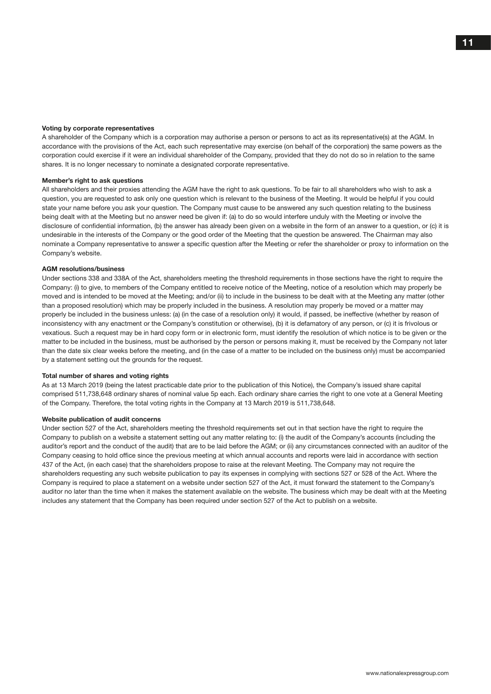#### Voting by corporate representatives

A shareholder of the Company which is a corporation may authorise a person or persons to act as its representative(s) at the AGM. In accordance with the provisions of the Act, each such representative may exercise (on behalf of the corporation) the same powers as the corporation could exercise if it were an individual shareholder of the Company, provided that they do not do so in relation to the same shares. It is no longer necessary to nominate a designated corporate representative.

#### Member's right to ask questions

All shareholders and their proxies attending the AGM have the right to ask questions. To be fair to all shareholders who wish to ask a question, you are requested to ask only one question which is relevant to the business of the Meeting. It would be helpful if you could state your name before you ask your question. The Company must cause to be answered any such question relating to the business being dealt with at the Meeting but no answer need be given if: (a) to do so would interfere unduly with the Meeting or involve the disclosure of confidential information, (b) the answer has already been given on a website in the form of an answer to a question, or (c) it is undesirable in the interests of the Company or the good order of the Meeting that the question be answered. The Chairman may also nominate a Company representative to answer a specific question after the Meeting or refer the shareholder or proxy to information on the Company's website.

#### AGM resolutions/business

Under sections 338 and 338A of the Act, shareholders meeting the threshold requirements in those sections have the right to require the Company: (i) to give, to members of the Company entitled to receive notice of the Meeting, notice of a resolution which may properly be moved and is intended to be moved at the Meeting; and/or (ii) to include in the business to be dealt with at the Meeting any matter (other than a proposed resolution) which may be properly included in the business. A resolution may properly be moved or a matter may properly be included in the business unless: (a) (in the case of a resolution only) it would, if passed, be ineffective (whether by reason of inconsistency with any enactment or the Company's constitution or otherwise), (b) it is defamatory of any person, or (c) it is frivolous or vexatious. Such a request may be in hard copy form or in electronic form, must identify the resolution of which notice is to be given or the matter to be included in the business, must be authorised by the person or persons making it, must be received by the Company not later than the date six clear weeks before the meeting, and (in the case of a matter to be included on the business only) must be accompanied by a statement setting out the grounds for the request.

#### Total number of shares and voting rights

As at 13 March 2019 (being the latest practicable date prior to the publication of this Notice), the Company's issued share capital comprised 511,738,648 ordinary shares of nominal value 5p each. Each ordinary share carries the right to one vote at a General Meeting of the Company. Therefore, the total voting rights in the Company at 13 March 2019 is 511,738,648.

#### Website publication of audit concerns

Under section 527 of the Act, shareholders meeting the threshold requirements set out in that section have the right to require the Company to publish on a website a statement setting out any matter relating to: (i) the audit of the Company's accounts (including the auditor's report and the conduct of the audit) that are to be laid before the AGM; or (ii) any circumstances connected with an auditor of the Company ceasing to hold office since the previous meeting at which annual accounts and reports were laid in accordance with section 437 of the Act, (in each case) that the shareholders propose to raise at the relevant Meeting. The Company may not require the shareholders requesting any such website publication to pay its expenses in complying with sections 527 or 528 of the Act. Where the Company is required to place a statement on a website under section 527 of the Act, it must forward the statement to the Company's auditor no later than the time when it makes the statement available on the website. The business which may be dealt with at the Meeting includes any statement that the Company has been required under section 527 of the Act to publish on a website.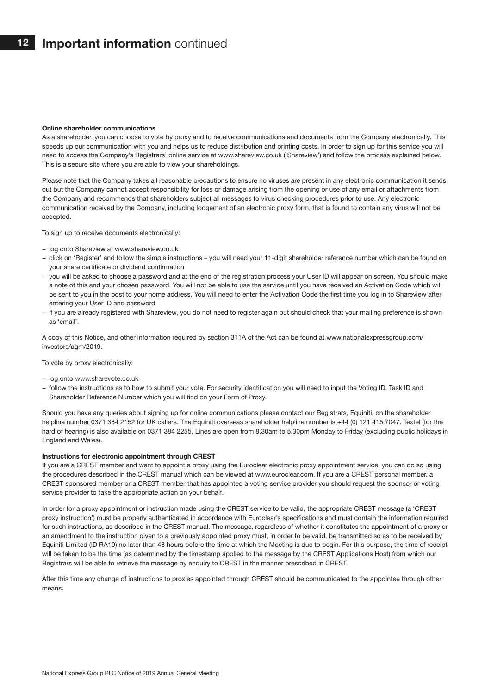#### Online shareholder communications

As a shareholder, you can choose to vote by proxy and to receive communications and documents from the Company electronically. This speeds up our communication with you and helps us to reduce distribution and printing costs. In order to sign up for this service you will need to access the Company's Registrars' online service at www.shareview.co.uk ('Shareview') and follow the process explained below. This is a secure site where you are able to view your shareholdings.

Please note that the Company takes all reasonable precautions to ensure no viruses are present in any electronic communication it sends out but the Company cannot accept responsibility for loss or damage arising from the opening or use of any email or attachments from the Company and recommends that shareholders subject all messages to virus checking procedures prior to use. Any electronic communication received by the Company, including lodgement of an electronic proxy form, that is found to contain any virus will not be accepted.

To sign up to receive documents electronically:

- − log onto Shareview at www.shareview.co.uk
- − click on 'Register' and follow the simple instructions you will need your 11-digit shareholder reference number which can be found on your share certificate or dividend confirmation
- − you will be asked to choose a password and at the end of the registration process your User ID will appear on screen. You should make a note of this and your chosen password. You will not be able to use the service until you have received an Activation Code which will be sent to you in the post to your home address. You will need to enter the Activation Code the first time you log in to Shareview after entering your User ID and password
- − if you are already registered with Shareview, you do not need to register again but should check that your mailing preference is shown as 'email'.

A copy of this Notice, and other information required by section 311A of the Act can be found at www.nationalexpressgroup.com/ investors/agm/2019.

To vote by proxy electronically:

- − log onto www.sharevote.co.uk
- − follow the instructions as to how to submit your vote. For security identification you will need to input the Voting ID, Task ID and Shareholder Reference Number which you will find on your Form of Proxy.

Should you have any queries about signing up for online communications please contact our Registrars, Equiniti, on the shareholder helpline number 0371 384 2152 for UK callers. The Equiniti overseas shareholder helpline number is +44 (0) 121 415 7047. Textel (for the hard of hearing) is also available on 0371 384 2255. Lines are open from 8.30am to 5.30pm Monday to Friday (excluding public holidays in England and Wales).

#### Instructions for electronic appointment through CREST

If you are a CREST member and want to appoint a proxy using the Euroclear electronic proxy appointment service, you can do so using the procedures described in the CREST manual which can be viewed at www.euroclear.com. If you are a CREST personal member, a CREST sponsored member or a CREST member that has appointed a voting service provider you should request the sponsor or voting service provider to take the appropriate action on your behalf.

In order for a proxy appointment or instruction made using the CREST service to be valid, the appropriate CREST message (a 'CREST proxy instruction') must be properly authenticated in accordance with Euroclear's specifications and must contain the information required for such instructions, as described in the CREST manual. The message, regardless of whether it constitutes the appointment of a proxy or an amendment to the instruction given to a previously appointed proxy must, in order to be valid, be transmitted so as to be received by Equiniti Limited (ID RA19) no later than 48 hours before the time at which the Meeting is due to begin. For this purpose, the time of receipt will be taken to be the time (as determined by the timestamp applied to the message by the CREST Applications Host) from which our Registrars will be able to retrieve the message by enquiry to CREST in the manner prescribed in CREST.

After this time any change of instructions to proxies appointed through CREST should be communicated to the appointee through other means.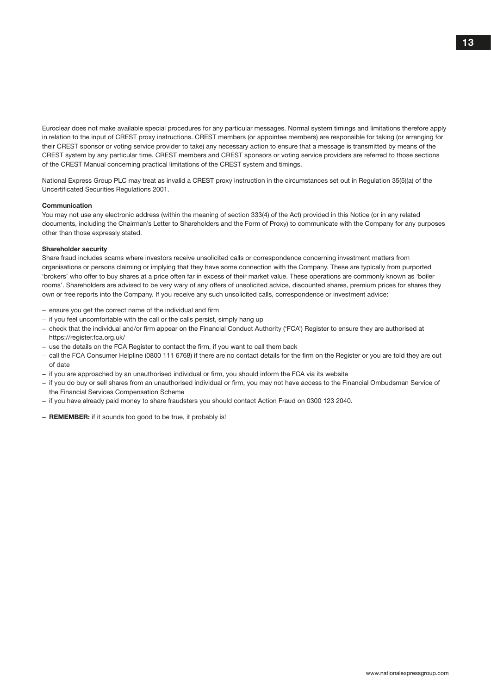Euroclear does not make available special procedures for any particular messages. Normal system timings and limitations therefore apply in relation to the input of CREST proxy instructions. CREST members (or appointee members) are responsible for taking (or arranging for their CREST sponsor or voting service provider to take) any necessary action to ensure that a message is transmitted by means of the CREST system by any particular time. CREST members and CREST sponsors or voting service providers are referred to those sections of the CREST Manual concerning practical limitations of the CREST system and timings.

National Express Group PLC may treat as invalid a CREST proxy instruction in the circumstances set out in Regulation 35(5)(a) of the Uncertificated Securities Regulations 2001.

#### Communication

You may not use any electronic address (within the meaning of section 333(4) of the Act) provided in this Notice (or in any related documents, including the Chairman's Letter to Shareholders and the Form of Proxy) to communicate with the Company for any purposes other than those expressly stated.

#### Shareholder security

Share fraud includes scams where investors receive unsolicited calls or correspondence concerning investment matters from organisations or persons claiming or implying that they have some connection with the Company. These are typically from purported 'brokers' who offer to buy shares at a price often far in excess of their market value. These operations are commonly known as 'boiler rooms'. Shareholders are advised to be very wary of any offers of unsolicited advice, discounted shares, premium prices for shares they own or free reports into the Company. If you receive any such unsolicited calls, correspondence or investment advice:

- − ensure you get the correct name of the individual and firm
- − if you feel uncomfortable with the call or the calls persist, simply hang up
- − check that the individual and/or firm appear on the Financial Conduct Authority ('FCA') Register to ensure they are authorised at https://register.fca.org.uk/
- − use the details on the FCA Register to contact the firm, if you want to call them back
- − call the FCA Consumer Helpline (0800 111 6768) if there are no contact details for the firm on the Register or you are told they are out of date
- − if you are approached by an unauthorised individual or firm, you should inform the FCA via its website
- − if you do buy or sell shares from an unauthorised individual or firm, you may not have access to the Financial Ombudsman Service of the Financial Services Compensation Scheme
- − if you have already paid money to share fraudsters you should contact Action Fraud on 0300 123 2040.
- − REMEMBER: if it sounds too good to be true, it probably is!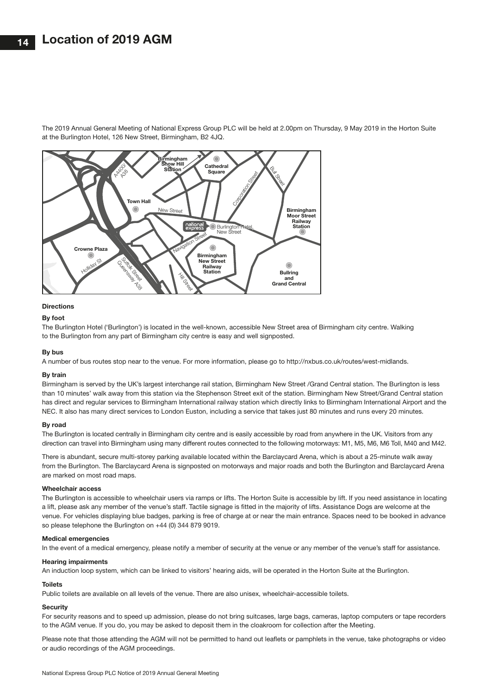The 2019 Annual General Meeting of National Express Group PLC will be held at 2.00pm on Thursday, 9 May 2019 in the Horton Suite at the Burlington Hotel, 126 New Street, Birmingham, B2 4JQ.



#### **Directions**

#### By foot

The Burlington Hotel ('Burlington') is located in the well-known, accessible New Street area of Birmingham city centre. Walking to the Burlington from any part of Birmingham city centre is easy and well signposted.

#### By bus

A number of bus routes stop near to the venue. For more information, please go to http://nxbus.co.uk/routes/west-midlands.

#### By train

Birmingham is served by the UK's largest interchange rail station, Birmingham New Street /Grand Central station. The Burlington is less than 10 minutes' walk away from this station via the Stephenson Street exit of the station. Birmingham New Street/Grand Central station has direct and regular services to Birmingham International railway station which directly links to Birmingham International Airport and the NEC. It also has many direct services to London Euston, including a service that takes just 80 minutes and runs every 20 minutes.

#### By road

The Burlington is located centrally in Birmingham city centre and is easily accessible by road from anywhere in the UK. Visitors from any direction can travel into Birmingham using many different routes connected to the following motorways: M1, M5, M6, M6 Toll, M40 and M42.

There is abundant, secure multi-storey parking available located within the Barclaycard Arena, which is about a 25-minute walk away from the Burlington. The Barclaycard Arena is signposted on motorways and major roads and both the Burlington and Barclaycard Arena are marked on most road maps.

#### Wheelchair access

The Burlington is accessible to wheelchair users via ramps or lifts. The Horton Suite is accessible by lift. If you need assistance in locating a lift, please ask any member of the venue's staff. Tactile signage is fitted in the majority of lifts. Assistance Dogs are welcome at the venue. For vehicles displaying blue badges, parking is free of charge at or near the main entrance. Spaces need to be booked in advance so please telephone the Burlington on +44 (0) 344 879 9019.

#### Medical emergencies

In the event of a medical emergency, please notify a member of security at the venue or any member of the venue's staff for assistance.

#### Hearing impairments

An induction loop system, which can be linked to visitors' hearing aids, will be operated in the Horton Suite at the Burlington.

#### **Toilets**

Public toilets are available on all levels of the venue. There are also unisex, wheelchair-accessible toilets.

#### **Security**

For security reasons and to speed up admission, please do not bring suitcases, large bags, cameras, laptop computers or tape recorders to the AGM venue. If you do, you may be asked to deposit them in the cloakroom for collection after the Meeting.

Please note that those attending the AGM will not be permitted to hand out leaflets or pamphlets in the venue, take photographs or video or audio recordings of the AGM proceedings.